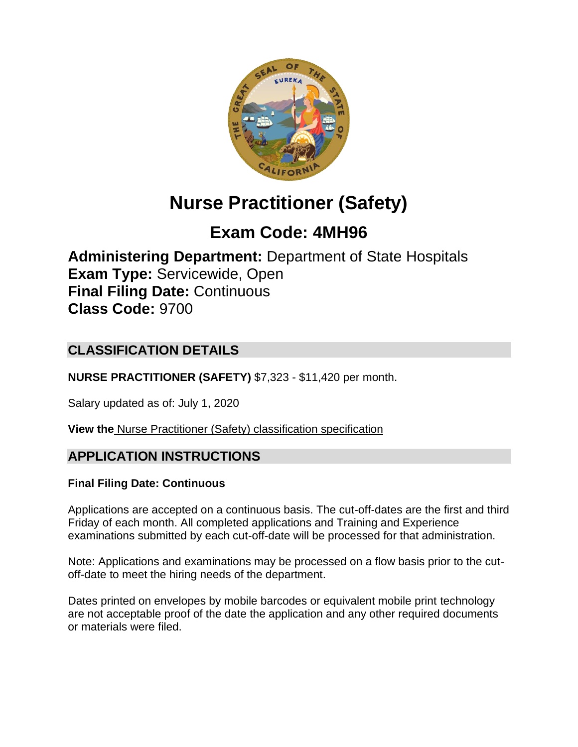

# **Nurse Practitioner (Safety)**

# **Exam Code: 4MH96**

**Administering Department:** Department of State Hospitals **Exam Type:** Servicewide, Open **Final Filing Date:** Continuous **Class Code:** 9700

# **CLASSIFICATION DETAILS**

**NURSE PRACTITIONER (SAFETY)** \$7,323 - \$11,420 per month.

Salary updated as of: July 1, 2020

**View the** [Nurse Practitioner \(Safety\) classification specification](https://www.calhr.ca.gov/state-hr-professionals/pages/9700.aspx)

# **APPLICATION INSTRUCTIONS**

## **Final Filing Date: Continuous**

Applications are accepted on a continuous basis. The cut-off-dates are the first and third Friday of each month. All completed applications and Training and Experience examinations submitted by each cut-off-date will be processed for that administration.

Note: Applications and examinations may be processed on a flow basis prior to the cutoff-date to meet the hiring needs of the department.

Dates printed on envelopes by mobile barcodes or equivalent mobile print technology are not acceptable proof of the date the application and any other required documents or materials were filed.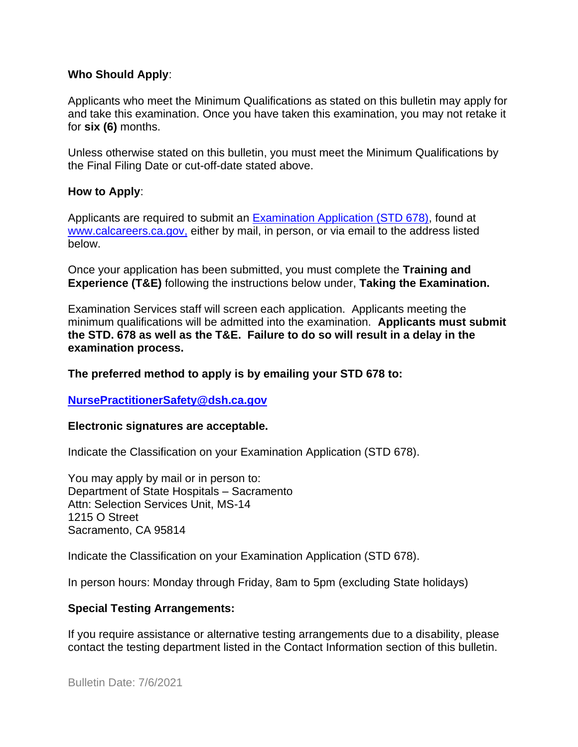#### **Who Should Apply**:

Applicants who meet the Minimum Qualifications as stated on this bulletin may apply for and take this examination. Once you have taken this examination, you may not retake it for **six (6)** months.

Unless otherwise stated on this bulletin, you must meet the Minimum Qualifications by the Final Filing Date or cut-off-date stated above.

#### **How to Apply**:

Applicants are required to submit an [Examination Application \(STD 678\),](https://jobs.ca.gov/pdf/std678.pdf) found at [www.calcareers.ca.gov,](http://www.calcareers.ca.gov/) either by mail, in person, or via email to the address listed below.

Once your application has been submitted, you must complete the **Training and Experience (T&E)** following the instructions below under, **Taking the Examination.**

Examination Services staff will screen each application. Applicants meeting the minimum qualifications will be admitted into the examination. **Applicants must submit the STD. 678 as well as the T&E. Failure to do so will result in a delay in the examination process.**

#### **The preferred method to apply is by emailing your STD 678 to:**

#### **[NursePractitionerSafety@dsh.ca.gov](mailto:NursePractitionerSafety@dsh.ca.gov)**

#### **Electronic signatures are acceptable.**

Indicate the Classification on your Examination Application (STD 678).

You may apply by mail or in person to: Department of State Hospitals – Sacramento Attn: Selection Services Unit, MS-14 1215 O Street Sacramento, CA 95814

Indicate the Classification on your Examination Application (STD 678).

In person hours: Monday through Friday, 8am to 5pm (excluding State holidays)

#### **Special Testing Arrangements:**

If you require assistance or alternative testing arrangements due to a disability, please contact the testing department listed in the Contact Information section of this bulletin.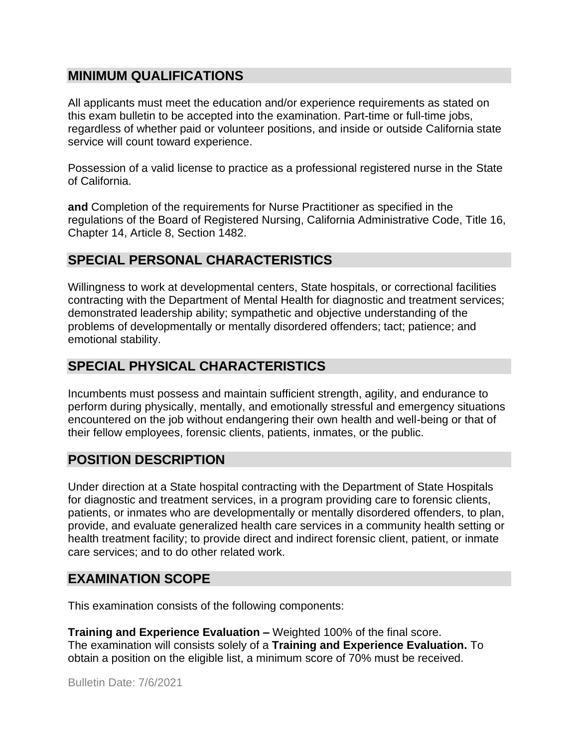## **MINIMUM QUALIFICATIONS**

All applicants must meet the education and/or experience requirements as stated on this exam bulletin to be accepted into the examination. Part-time or full-time jobs, regardless of whether paid or volunteer positions, and inside or outside California state service will count toward experience.

Possession of a valid license to practice as a professional registered nurse in the State of California.

**and** Completion of the requirements for Nurse Practitioner as specified in the regulations of the Board of Registered Nursing, California Administrative Code, Title 16, Chapter 14, Article 8, Section 1482.

# **SPECIAL PERSONAL CHARACTERISTICS**

Willingness to work at developmental centers, State hospitals, or correctional facilities contracting with the Department of Mental Health for diagnostic and treatment services; demonstrated leadership ability; sympathetic and objective understanding of the problems of developmentally or mentally disordered offenders; tact; patience; and emotional stability.

## **SPECIAL PHYSICAL CHARACTERISTICS**

Incumbents must possess and maintain sufficient strength, agility, and endurance to perform during physically, mentally, and emotionally stressful and emergency situations encountered on the job without endangering their own health and well-being or that of their fellow employees, forensic clients, patients, inmates, or the public.

## **POSITION DESCRIPTION**

Under direction at a State hospital contracting with the Department of State Hospitals for diagnostic and treatment services, in a program providing care to forensic clients, patients, or inmates who are developmentally or mentally disordered offenders, to plan, provide, and evaluate generalized health care services in a community health setting or health treatment facility; to provide direct and indirect forensic client, patient, or inmate care services; and to do other related work.

#### **EXAMINATION SCOPE**

This examination consists of the following components:

**Training and Experience Evaluation –** Weighted 100% of the final score. The examination will consists solely of a **Training and Experience Evaluation.** To obtain a position on the eligible list, a minimum score of 70% must be received.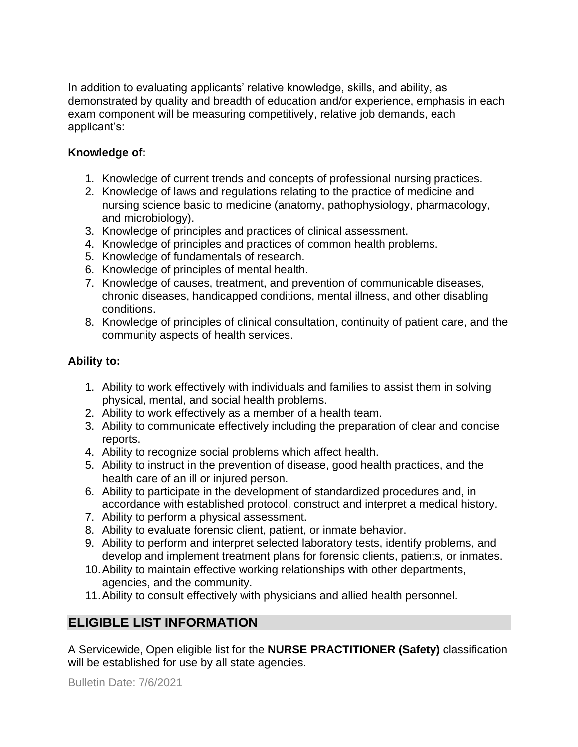In addition to evaluating applicants' relative knowledge, skills, and ability, as demonstrated by quality and breadth of education and/or experience, emphasis in each exam component will be measuring competitively, relative job demands, each applicant's:

#### **Knowledge of:**

- 1. Knowledge of current trends and concepts of professional nursing practices.
- 2. Knowledge of laws and regulations relating to the practice of medicine and nursing science basic to medicine (anatomy, pathophysiology, pharmacology, and microbiology).
- 3. Knowledge of principles and practices of clinical assessment.
- 4. Knowledge of principles and practices of common health problems.
- 5. Knowledge of fundamentals of research.
- 6. Knowledge of principles of mental health.
- 7. Knowledge of causes, treatment, and prevention of communicable diseases, chronic diseases, handicapped conditions, mental illness, and other disabling conditions.
- 8. Knowledge of principles of clinical consultation, continuity of patient care, and the community aspects of health services.

#### **Ability to:**

- 1. Ability to work effectively with individuals and families to assist them in solving physical, mental, and social health problems.
- 2. Ability to work effectively as a member of a health team.
- 3. Ability to communicate effectively including the preparation of clear and concise reports.
- 4. Ability to recognize social problems which affect health.
- 5. Ability to instruct in the prevention of disease, good health practices, and the health care of an ill or injured person.
- 6. Ability to participate in the development of standardized procedures and, in accordance with established protocol, construct and interpret a medical history.
- 7. Ability to perform a physical assessment.
- 8. Ability to evaluate forensic client, patient, or inmate behavior.
- 9. Ability to perform and interpret selected laboratory tests, identify problems, and develop and implement treatment plans for forensic clients, patients, or inmates.
- 10.Ability to maintain effective working relationships with other departments, agencies, and the community.
- 11.Ability to consult effectively with physicians and allied health personnel.

# **ELIGIBLE LIST INFORMATION**

A Servicewide, Open eligible list for the **NURSE PRACTITIONER (Safety)** classification will be established for use by all state agencies.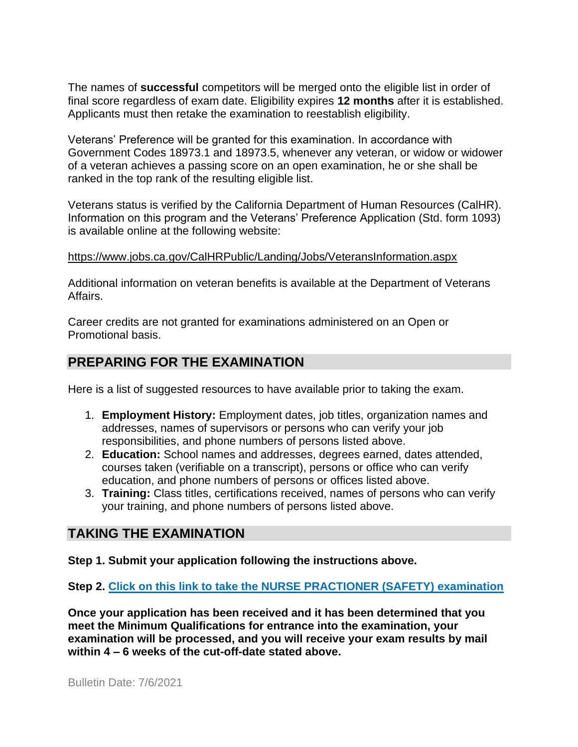The names of **successful** competitors will be merged onto the eligible list in order of final score regardless of exam date. Eligibility expires **12 months** after it is established. Applicants must then retake the examination to reestablish eligibility.

Veterans' Preference will be granted for this examination. In accordance with Government Codes 18973.1 and 18973.5, whenever any veteran, or widow or widower of a veteran achieves a passing score on an open examination, he or she shall be ranked in the top rank of the resulting eligible list.

Veterans status is verified by the California Department of Human Resources (CalHR). Information on this program and the Veterans' Preference Application (Std. form 1093) is available online at the following website:

#### <https://www.jobs.ca.gov/CalHRPublic/Landing/Jobs/VeteransInformation.aspx>

Additional information on veteran benefits is available at the Department of Veterans Affairs.

Career credits are not granted for examinations administered on an Open or Promotional basis.

# **PREPARING FOR THE EXAMINATION**

Here is a list of suggested resources to have available prior to taking the exam.

- 1. **Employment History:** Employment dates, job titles, organization names and addresses, names of supervisors or persons who can verify your job responsibilities, and phone numbers of persons listed above.
- 2. **Education:** School names and addresses, degrees earned, dates attended, courses taken (verifiable on a transcript), persons or office who can verify education, and phone numbers of persons or offices listed above.
- 3. **Training:** Class titles, certifications received, names of persons who can verify your training, and phone numbers of persons listed above.

## **TAKING THE EXAMINATION**

**Step 1. Submit your application following the instructions above.**

**Step 2. Click on this link to take the [NURSE PRACTIONER \(SAFETY\)](https://www.surveymonkey.com/r/8JG9P6X) examination**

**Once your application has been received and it has been determined that you meet the Minimum Qualifications for entrance into the examination, your examination will be processed, and you will receive your exam results by mail within 4 – 6 weeks of the cut-off-date stated above.**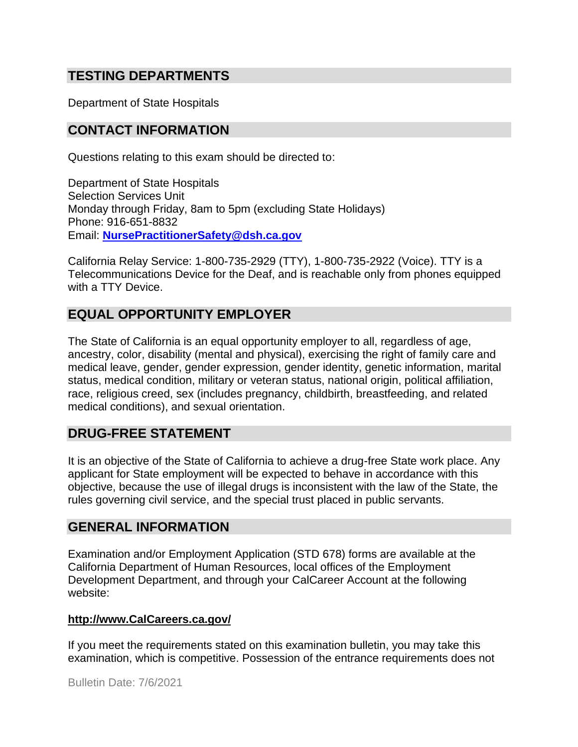# **TESTING DEPARTMENTS**

Department of State Hospitals

#### **CONTACT INFORMATION**

Questions relating to this exam should be directed to:

Department of State Hospitals Selection Services Unit Monday through Friday, 8am to 5pm (excluding State Holidays) Phone: 916-651-8832 Email: **[NursePractitionerSafety@dsh.ca.gov](mailto:NursePractitionerSafety@dsh.ca.gov)**

California Relay Service: 1-800-735-2929 (TTY), 1-800-735-2922 (Voice). TTY is a Telecommunications Device for the Deaf, and is reachable only from phones equipped with a TTY Device.

# **EQUAL OPPORTUNITY EMPLOYER**

The State of California is an equal opportunity employer to all, regardless of age, ancestry, color, disability (mental and physical), exercising the right of family care and medical leave, gender, gender expression, gender identity, genetic information, marital status, medical condition, military or veteran status, national origin, political affiliation, race, religious creed, sex (includes pregnancy, childbirth, breastfeeding, and related medical conditions), and sexual orientation.

## **DRUG-FREE STATEMENT**

It is an objective of the State of California to achieve a drug-free State work place. Any applicant for State employment will be expected to behave in accordance with this objective, because the use of illegal drugs is inconsistent with the law of the State, the rules governing civil service, and the special trust placed in public servants.

#### **GENERAL INFORMATION**

Examination and/or Employment Application (STD 678) forms are available at the California Department of Human Resources, local offices of the Employment Development Department, and through your CalCareer Account at the following website:

#### **http://www.CalCareers.ca.gov/**

If you meet the requirements stated on this examination bulletin, you may take this examination, which is competitive. Possession of the entrance requirements does not